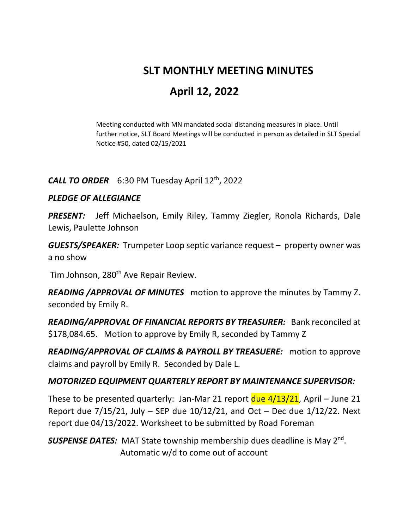# **SLT MONTHLY MEETING MINUTES**

# **April 12, 2022**

Meeting conducted with MN mandated social distancing measures in place. Until further notice, SLT Board Meetings will be conducted in person as detailed in SLT Special Notice #50, dated 02/15/2021

### *CALL TO ORDER* 6:30 PM Tuesday April 12th, 2022

#### *PLEDGE OF ALLEGIANCE*

*PRESENT:* Jeff Michaelson, Emily Riley, Tammy Ziegler, Ronola Richards, Dale Lewis, Paulette Johnson

*GUESTS/SPEAKER:* Trumpeter Loop septic variance request – property owner was a no show

Tim Johnson, 280<sup>th</sup> Ave Repair Review.

*READING /APPROVAL OF MINUTES* motion to approve the minutes by Tammy Z. seconded by Emily R.

*READING/APPROVAL OF FINANCIAL REPORTS BY TREASURER:* Bank reconciled at \$178,084.65. Motion to approve by Emily R, seconded by Tammy Z

*READING/APPROVAL OF CLAIMS & PAYROLL BY TREASUERE:* motion to approve claims and payroll by Emily R. Seconded by Dale L.

#### *MOTORIZED EQUIPMENT QUARTERLY REPORT BY MAINTENANCE SUPERVISOR:*

These to be presented quarterly: Jan-Mar 21 report  $due 4/13/21$ , April - June 21 Report due  $7/15/21$ , July – SEP due  $10/12/21$ , and Oct – Dec due  $1/12/22$ . Next report due 04/13/2022. Worksheet to be submitted by Road Foreman

**SUSPENSE DATES:** MAT State township membership dues deadline is May 2<sup>nd</sup>. Automatic w/d to come out of account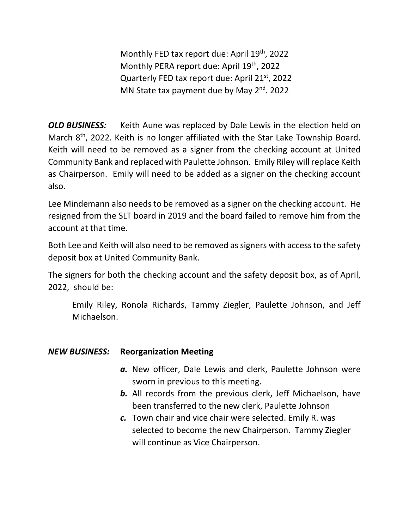Monthly FED tax report due: April 19<sup>th</sup>, 2022 Monthly PERA report due: April 19<sup>th</sup>, 2022 Quarterly FED tax report due: April  $21^{st}$ , 2022 MN State tax payment due by May 2<sup>nd</sup>. 2022

*OLD BUSINESS:* Keith Aune was replaced by Dale Lewis in the election held on March  $8<sup>th</sup>$ , 2022. Keith is no longer affiliated with the Star Lake Township Board. Keith will need to be removed as a signer from the checking account at United Community Bank and replaced with Paulette Johnson. Emily Riley will replace Keith as Chairperson. Emily will need to be added as a signer on the checking account also.

Lee Mindemann also needs to be removed as a signer on the checking account. He resigned from the SLT board in 2019 and the board failed to remove him from the account at that time.

Both Lee and Keith will also need to be removed as signers with access to the safety deposit box at United Community Bank.

The signers for both the checking account and the safety deposit box, as of April, 2022, should be:

Emily Riley, Ronola Richards, Tammy Ziegler, Paulette Johnson, and Jeff Michaelson.

## *NEW BUSINESS:* **Reorganization Meeting**

- *a.* New officer, Dale Lewis and clerk, Paulette Johnson were sworn in previous to this meeting.
- *b.* All records from the previous clerk, Jeff Michaelson, have been transferred to the new clerk, Paulette Johnson
- *c.* Town chair and vice chair were selected. Emily R. was selected to become the new Chairperson. Tammy Ziegler will continue as Vice Chairperson.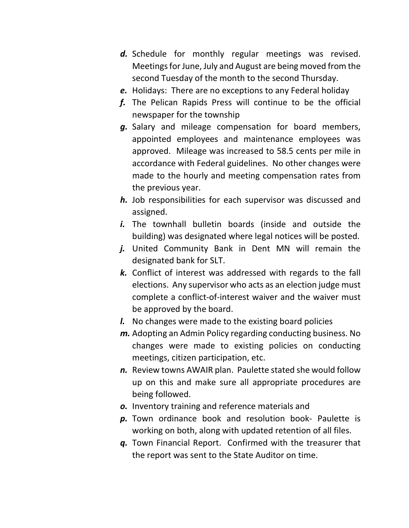- *d.* Schedule for monthly regular meetings was revised. Meetings for June, July and August are being moved from the second Tuesday of the month to the second Thursday.
- *e.* Holidays: There are no exceptions to any Federal holiday
- *f.* The Pelican Rapids Press will continue to be the official newspaper for the township
- *g.* Salary and mileage compensation for board members, appointed employees and maintenance employees was approved. Mileage was increased to 58.5 cents per mile in accordance with Federal guidelines. No other changes were made to the hourly and meeting compensation rates from the previous year.
- *h.* Job responsibilities for each supervisor was discussed and assigned.
- *i.* The townhall bulletin boards (inside and outside the building) was designated where legal notices will be posted.
- *j.* United Community Bank in Dent MN will remain the designated bank for SLT.
- *k.* Conflict of interest was addressed with regards to the fall elections. Any supervisor who acts as an election judge must complete a conflict-of-interest waiver and the waiver must be approved by the board.
- *l.* No changes were made to the existing board policies
- *m.* Adopting an Admin Policy regarding conducting business. No changes were made to existing policies on conducting meetings, citizen participation, etc.
- *n.* Review towns AWAIR plan. Paulette stated she would follow up on this and make sure all appropriate procedures are being followed.
- *o.* Inventory training and reference materials and
- *p.* Town ordinance book and resolution book- Paulette is working on both, along with updated retention of all files.
- *q.* Town Financial Report. Confirmed with the treasurer that the report was sent to the State Auditor on time.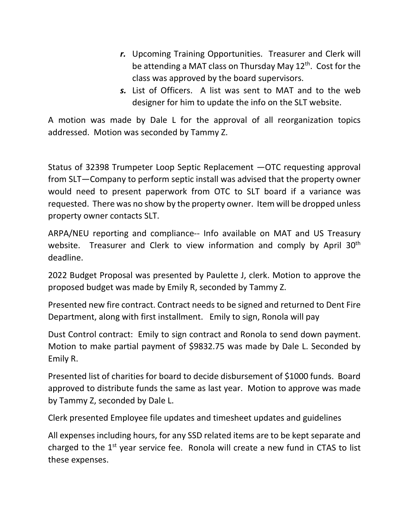- *r.* Upcoming Training Opportunities. Treasurer and Clerk will be attending a MAT class on Thursday May  $12<sup>th</sup>$ . Cost for the class was approved by the board supervisors.
- *s.* List of Officers. A list was sent to MAT and to the web designer for him to update the info on the SLT website.

A motion was made by Dale L for the approval of all reorganization topics addressed. Motion was seconded by Tammy Z.

Status of 32398 Trumpeter Loop Septic Replacement —OTC requesting approval from SLT—Company to perform septic install was advised that the property owner would need to present paperwork from OTC to SLT board if a variance was requested. There was no show by the property owner. Item will be dropped unless property owner contacts SLT.

ARPA/NEU reporting and compliance-- Info available on MAT and US Treasury website. Treasurer and Clerk to view information and comply by April 30<sup>th</sup> deadline.

2022 Budget Proposal was presented by Paulette J, clerk. Motion to approve the proposed budget was made by Emily R, seconded by Tammy Z.

Presented new fire contract. Contract needs to be signed and returned to Dent Fire Department, along with first installment. Emily to sign, Ronola will pay

Dust Control contract: Emily to sign contract and Ronola to send down payment. Motion to make partial payment of \$9832.75 was made by Dale L. Seconded by Emily R.

Presented list of charities for board to decide disbursement of \$1000 funds. Board approved to distribute funds the same as last year. Motion to approve was made by Tammy Z, seconded by Dale L.

Clerk presented Employee file updates and timesheet updates and guidelines

All expenses including hours, for any SSD related items are to be kept separate and charged to the  $1<sup>st</sup>$  year service fee. Ronola will create a new fund in CTAS to list these expenses.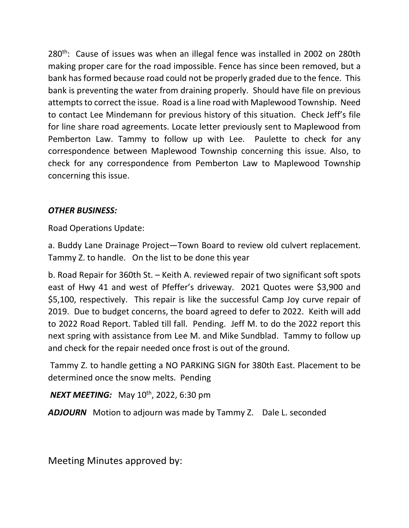280<sup>th</sup>: Cause of issues was when an illegal fence was installed in 2002 on 280th making proper care for the road impossible. Fence has since been removed, but a bank has formed because road could not be properly graded due to the fence. This bank is preventing the water from draining properly. Should have file on previous attempts to correct the issue. Road is a line road with Maplewood Township. Need to contact Lee Mindemann for previous history of this situation. Check Jeff's file for line share road agreements. Locate letter previously sent to Maplewood from Pemberton Law. Tammy to follow up with Lee. Paulette to check for any correspondence between Maplewood Township concerning this issue. Also, to check for any correspondence from Pemberton Law to Maplewood Township concerning this issue.

### *OTHER BUSINESS:*

Road Operations Update:

a. Buddy Lane Drainage Project—Town Board to review old culvert replacement. Tammy Z. to handle. On the list to be done this year

b. Road Repair for 360th St. – Keith A. reviewed repair of two significant soft spots east of Hwy 41 and west of Pfeffer's driveway. 2021 Quotes were \$3,900 and \$5,100, respectively. This repair is like the successful Camp Joy curve repair of 2019.Due to budget concerns, the board agreed to defer to 2022. Keith will add to 2022 Road Report. Tabled till fall. Pending. Jeff M. to do the 2022 report this next spring with assistance from Lee M. and Mike Sundblad. Tammy to follow up and check for the repair needed once frost is out of the ground.

Tammy Z. to handle getting a NO PARKING SIGN for 380th East. Placement to be determined once the snow melts. Pending

*NEXT MEETING:* May 10<sup>th</sup>, 2022, 6:30 pm

*ADJOURN* Motion to adjourn was made by Tammy Z. Dale L. seconded

Meeting Minutes approved by: